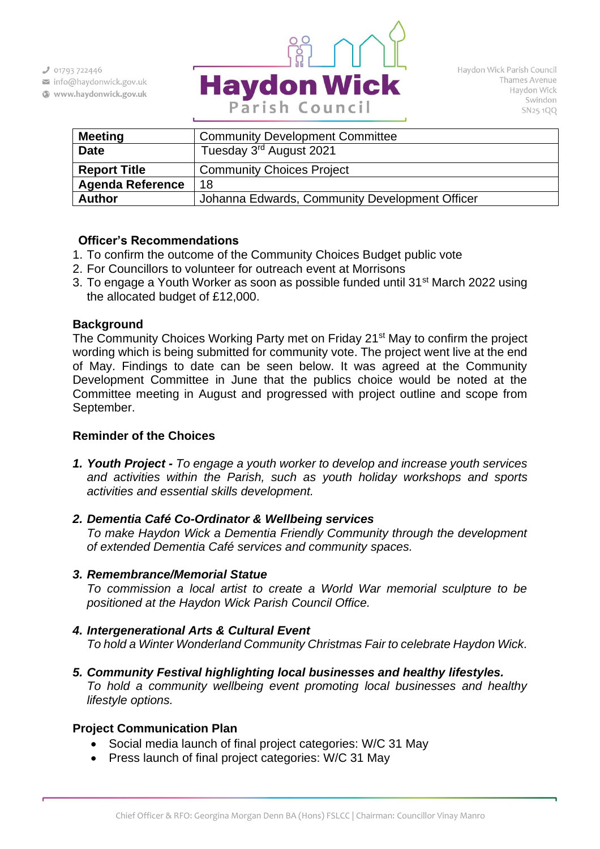$J$  01793 722446

info@haydonwick.gov.uk

Www.haydonwick.gov.uk



| <b>Meeting</b>          | <b>Community Development Committee</b>         |
|-------------------------|------------------------------------------------|
| <b>Date</b>             | Tuesday 3rd August 2021                        |
| <b>Report Title</b>     | <b>Community Choices Project</b>               |
| <b>Agenda Reference</b> | 18                                             |
| <b>Author</b>           | Johanna Edwards, Community Development Officer |

## **Officer's Recommendations**

- 1. To confirm the outcome of the Community Choices Budget public vote
- 2. For Councillors to volunteer for outreach event at Morrisons
- 3. To engage a Youth Worker as soon as possible funded until 31<sup>st</sup> March 2022 using the allocated budget of £12,000.

### **Background**

The Community Choices Working Party met on Friday 21<sup>st</sup> May to confirm the project wording which is being submitted for community vote. The project went live at the end of May. Findings to date can be seen below. It was agreed at the Community Development Committee in June that the publics choice would be noted at the Committee meeting in August and progressed with project outline and scope from September.

## **Reminder of the Choices**

*1. Youth Project - To engage a youth worker to develop and increase youth services and activities within the Parish, such as youth holiday workshops and sports activities and essential skills development.*

## *2. Dementia Café Co-Ordinator & Wellbeing services*

*To make Haydon Wick a Dementia Friendly Community through the development of extended Dementia Café services and community spaces.*

## *3. Remembrance/Memorial Statue*

*To commission a local artist to create a World War memorial sculpture to be positioned at the Haydon Wick Parish Council Office.*

## *4. Intergenerational Arts & Cultural Event*

*To hold a Winter Wonderland Community Christmas Fair to celebrate Haydon Wick.*

*5. Community Festival highlighting local businesses and healthy lifestyles. To hold a community wellbeing event promoting local businesses and healthy lifestyle options.*

## **Project Communication Plan**

- Social media launch of final project categories: W/C 31 May
- Press launch of final project categories: W/C 31 May